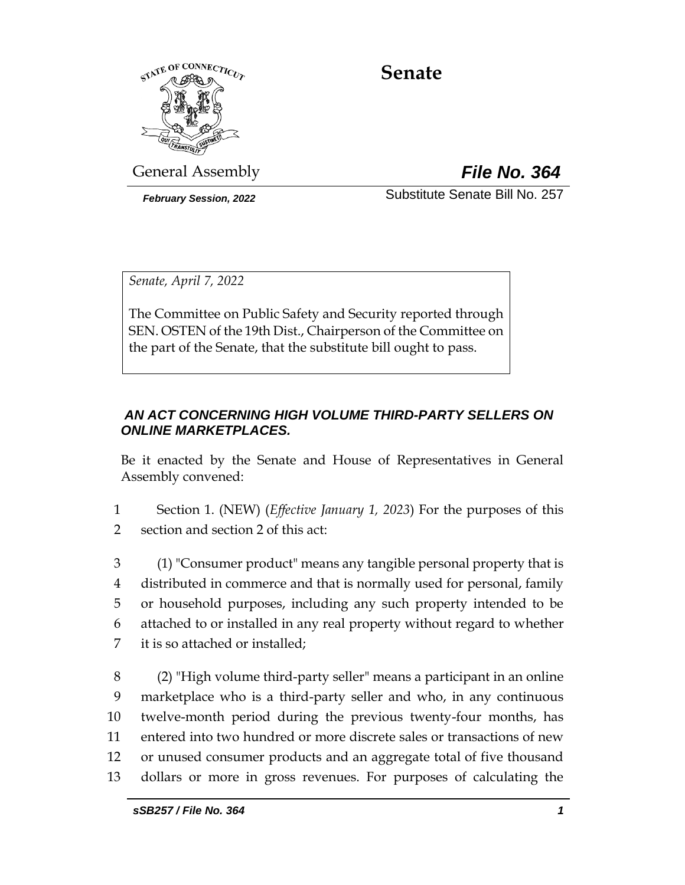

# **Senate**

General Assembly *File No. 364*

*February Session, 2022* Substitute Senate Bill No. 257

*Senate, April 7, 2022*

The Committee on Public Safety and Security reported through SEN. OSTEN of the 19th Dist., Chairperson of the Committee on the part of the Senate, that the substitute bill ought to pass.

## *AN ACT CONCERNING HIGH VOLUME THIRD-PARTY SELLERS ON ONLINE MARKETPLACES.*

Be it enacted by the Senate and House of Representatives in General Assembly convened:

1 Section 1. (NEW) (*Effective January 1, 2023*) For the purposes of this 2 section and section 2 of this act:

 (1) "Consumer product" means any tangible personal property that is distributed in commerce and that is normally used for personal, family or household purposes, including any such property intended to be attached to or installed in any real property without regard to whether it is so attached or installed;

 (2) "High volume third-party seller" means a participant in an online marketplace who is a third-party seller and who, in any continuous twelve-month period during the previous twenty-four months, has entered into two hundred or more discrete sales or transactions of new or unused consumer products and an aggregate total of five thousand dollars or more in gross revenues. For purposes of calculating the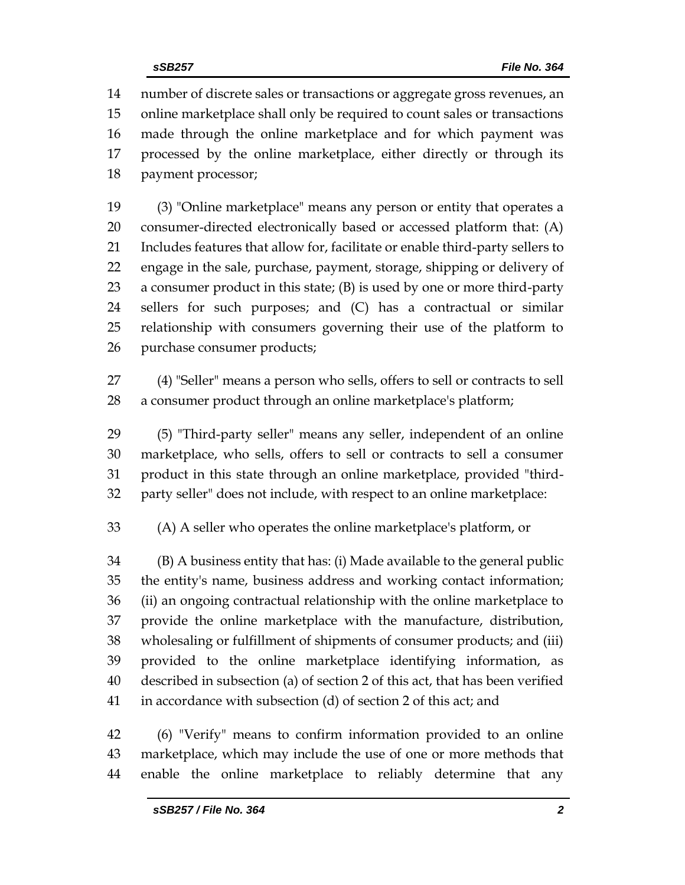number of discrete sales or transactions or aggregate gross revenues, an online marketplace shall only be required to count sales or transactions made through the online marketplace and for which payment was processed by the online marketplace, either directly or through its payment processor;

 (3) "Online marketplace" means any person or entity that operates a consumer-directed electronically based or accessed platform that: (A) Includes features that allow for, facilitate or enable third-party sellers to engage in the sale, purchase, payment, storage, shipping or delivery of a consumer product in this state; (B) is used by one or more third-party sellers for such purposes; and (C) has a contractual or similar relationship with consumers governing their use of the platform to purchase consumer products;

 (4) "Seller" means a person who sells, offers to sell or contracts to sell a consumer product through an online marketplace's platform;

 (5) "Third-party seller" means any seller, independent of an online marketplace, who sells, offers to sell or contracts to sell a consumer product in this state through an online marketplace, provided "third-party seller" does not include, with respect to an online marketplace:

(A) A seller who operates the online marketplace's platform, or

 (B) A business entity that has: (i) Made available to the general public the entity's name, business address and working contact information; (ii) an ongoing contractual relationship with the online marketplace to provide the online marketplace with the manufacture, distribution, wholesaling or fulfillment of shipments of consumer products; and (iii) provided to the online marketplace identifying information, as described in subsection (a) of section 2 of this act, that has been verified in accordance with subsection (d) of section 2 of this act; and

 (6) "Verify" means to confirm information provided to an online marketplace, which may include the use of one or more methods that enable the online marketplace to reliably determine that any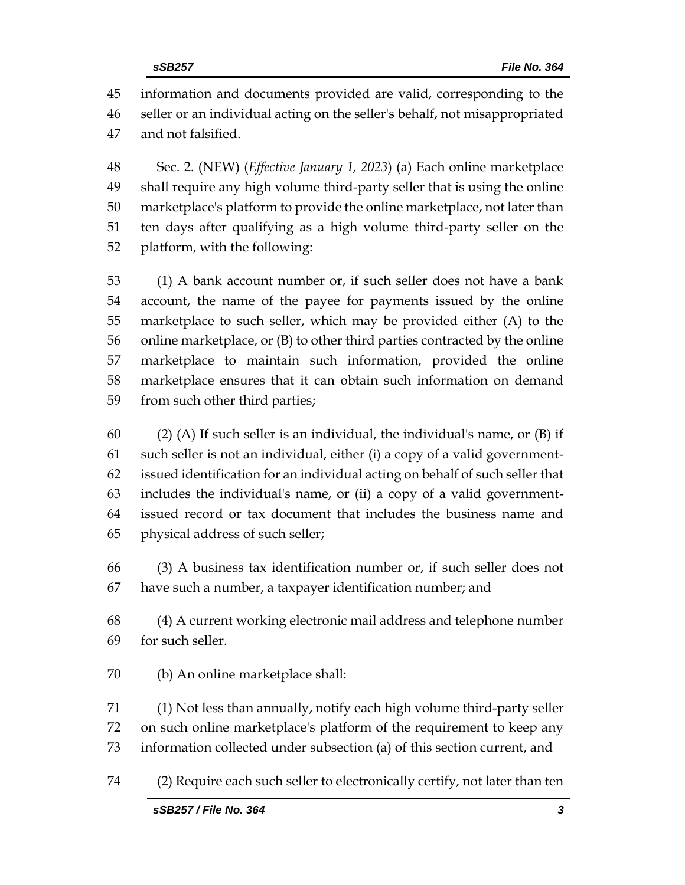information and documents provided are valid, corresponding to the seller or an individual acting on the seller's behalf, not misappropriated and not falsified.

 Sec. 2. (NEW) (*Effective January 1, 2023*) (a) Each online marketplace shall require any high volume third-party seller that is using the online marketplace's platform to provide the online marketplace, not later than ten days after qualifying as a high volume third-party seller on the platform, with the following:

 (1) A bank account number or, if such seller does not have a bank account, the name of the payee for payments issued by the online marketplace to such seller, which may be provided either (A) to the online marketplace, or (B) to other third parties contracted by the online marketplace to maintain such information, provided the online marketplace ensures that it can obtain such information on demand from such other third parties;

60 (2) (A) If such seller is an individual, the individual's name, or  $(B)$  if such seller is not an individual, either (i) a copy of a valid government- issued identification for an individual acting on behalf of such seller that includes the individual's name, or (ii) a copy of a valid government- issued record or tax document that includes the business name and physical address of such seller;

 (3) A business tax identification number or, if such seller does not have such a number, a taxpayer identification number; and

 (4) A current working electronic mail address and telephone number for such seller.

(b) An online marketplace shall:

 (1) Not less than annually, notify each high volume third-party seller on such online marketplace's platform of the requirement to keep any information collected under subsection (a) of this section current, and

(2) Require each such seller to electronically certify, not later than ten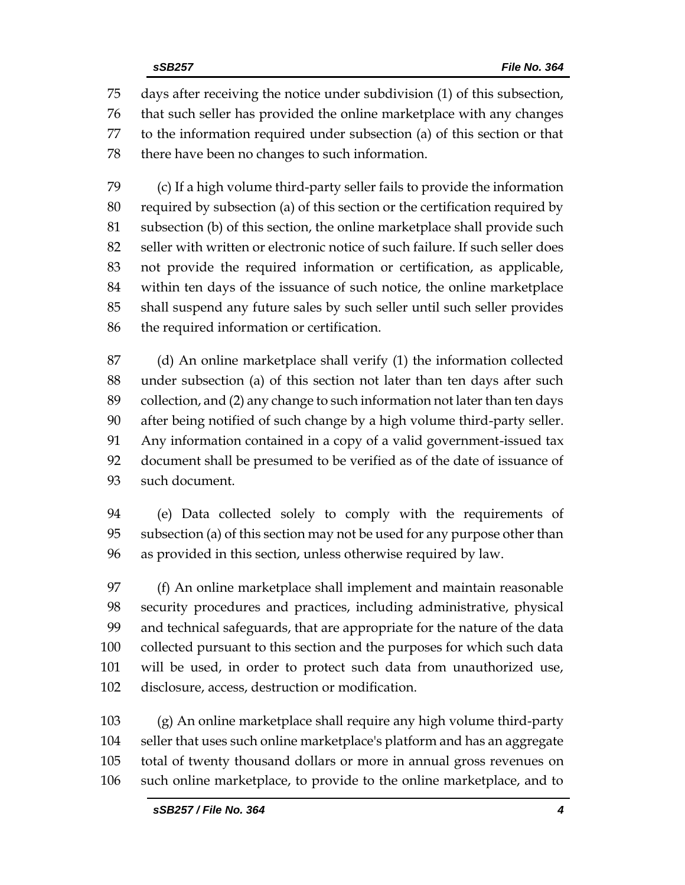days after receiving the notice under subdivision (1) of this subsection, that such seller has provided the online marketplace with any changes to the information required under subsection (a) of this section or that there have been no changes to such information.

 (c) If a high volume third-party seller fails to provide the information required by subsection (a) of this section or the certification required by subsection (b) of this section, the online marketplace shall provide such seller with written or electronic notice of such failure. If such seller does not provide the required information or certification, as applicable, within ten days of the issuance of such notice, the online marketplace shall suspend any future sales by such seller until such seller provides the required information or certification.

 (d) An online marketplace shall verify (1) the information collected under subsection (a) of this section not later than ten days after such collection, and (2) any change to such information not later than ten days after being notified of such change by a high volume third-party seller. Any information contained in a copy of a valid government-issued tax document shall be presumed to be verified as of the date of issuance of such document.

 (e) Data collected solely to comply with the requirements of subsection (a) of this section may not be used for any purpose other than as provided in this section, unless otherwise required by law.

 (f) An online marketplace shall implement and maintain reasonable security procedures and practices, including administrative, physical and technical safeguards, that are appropriate for the nature of the data collected pursuant to this section and the purposes for which such data will be used, in order to protect such data from unauthorized use, disclosure, access, destruction or modification.

 (g) An online marketplace shall require any high volume third-party seller that uses such online marketplace's platform and has an aggregate total of twenty thousand dollars or more in annual gross revenues on such online marketplace, to provide to the online marketplace, and to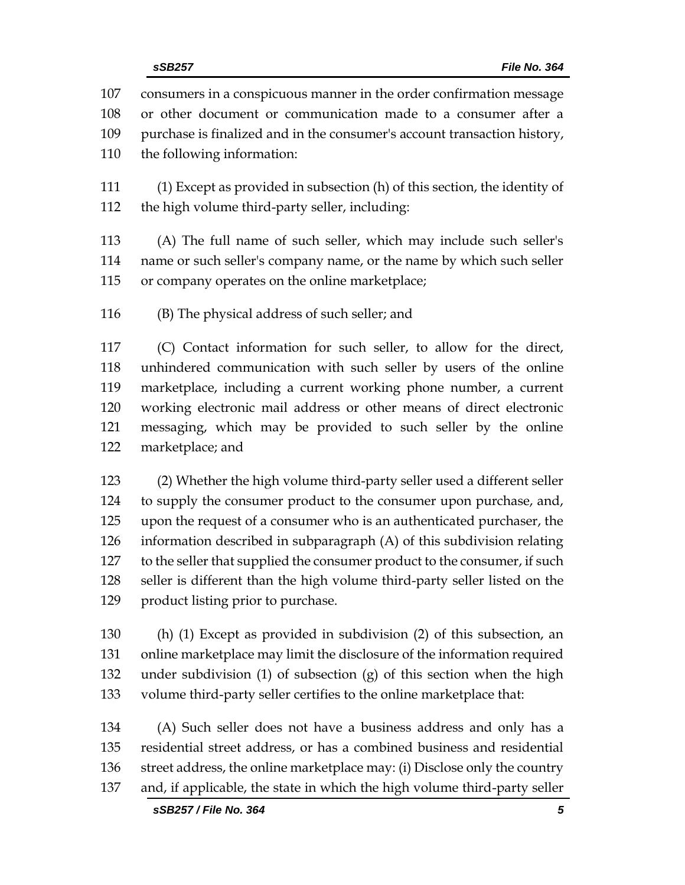consumers in a conspicuous manner in the order confirmation message or other document or communication made to a consumer after a purchase is finalized and in the consumer's account transaction history, the following information: (1) Except as provided in subsection (h) of this section, the identity of the high volume third-party seller, including: (A) The full name of such seller, which may include such seller's name or such seller's company name, or the name by which such seller or company operates on the online marketplace; (B) The physical address of such seller; and

 (C) Contact information for such seller, to allow for the direct, unhindered communication with such seller by users of the online marketplace, including a current working phone number, a current working electronic mail address or other means of direct electronic messaging, which may be provided to such seller by the online marketplace; and

 (2) Whether the high volume third-party seller used a different seller to supply the consumer product to the consumer upon purchase, and, upon the request of a consumer who is an authenticated purchaser, the information described in subparagraph (A) of this subdivision relating 127 to the seller that supplied the consumer product to the consumer, if such seller is different than the high volume third-party seller listed on the product listing prior to purchase.

 (h) (1) Except as provided in subdivision (2) of this subsection, an online marketplace may limit the disclosure of the information required under subdivision (1) of subsection (g) of this section when the high volume third-party seller certifies to the online marketplace that:

 (A) Such seller does not have a business address and only has a residential street address, or has a combined business and residential street address, the online marketplace may: (i) Disclose only the country and, if applicable, the state in which the high volume third-party seller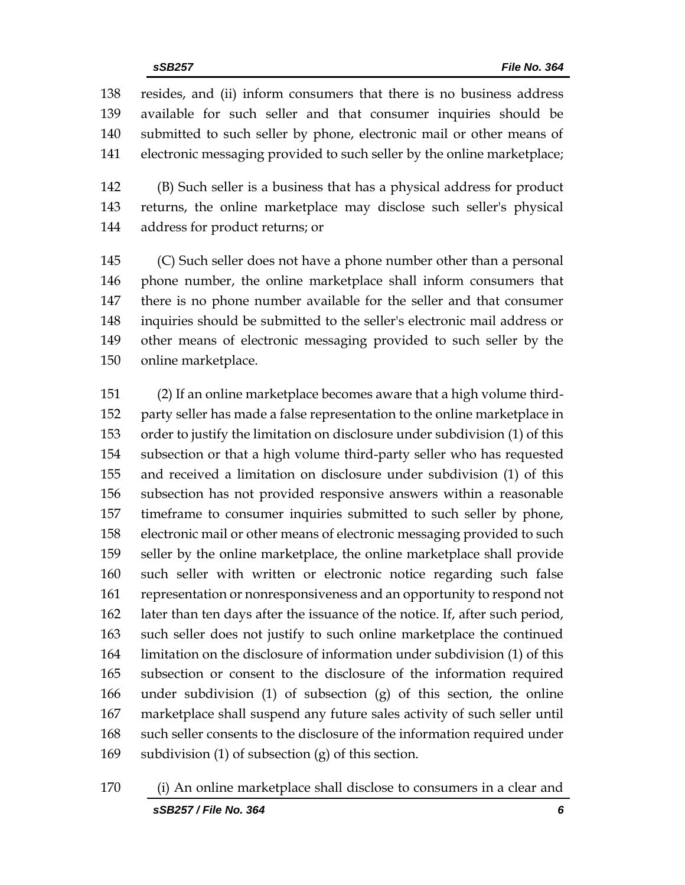resides, and (ii) inform consumers that there is no business address available for such seller and that consumer inquiries should be submitted to such seller by phone, electronic mail or other means of electronic messaging provided to such seller by the online marketplace;

 (B) Such seller is a business that has a physical address for product returns, the online marketplace may disclose such seller's physical address for product returns; or

 (C) Such seller does not have a phone number other than a personal phone number, the online marketplace shall inform consumers that there is no phone number available for the seller and that consumer inquiries should be submitted to the seller's electronic mail address or other means of electronic messaging provided to such seller by the online marketplace.

 (2) If an online marketplace becomes aware that a high volume third- party seller has made a false representation to the online marketplace in order to justify the limitation on disclosure under subdivision (1) of this subsection or that a high volume third-party seller who has requested and received a limitation on disclosure under subdivision (1) of this subsection has not provided responsive answers within a reasonable timeframe to consumer inquiries submitted to such seller by phone, electronic mail or other means of electronic messaging provided to such seller by the online marketplace, the online marketplace shall provide such seller with written or electronic notice regarding such false representation or nonresponsiveness and an opportunity to respond not later than ten days after the issuance of the notice. If, after such period, such seller does not justify to such online marketplace the continued limitation on the disclosure of information under subdivision (1) of this subsection or consent to the disclosure of the information required under subdivision (1) of subsection (g) of this section, the online marketplace shall suspend any future sales activity of such seller until such seller consents to the disclosure of the information required under subdivision (1) of subsection (g) of this section.

*sSB257 / File No. 364 6* (i) An online marketplace shall disclose to consumers in a clear and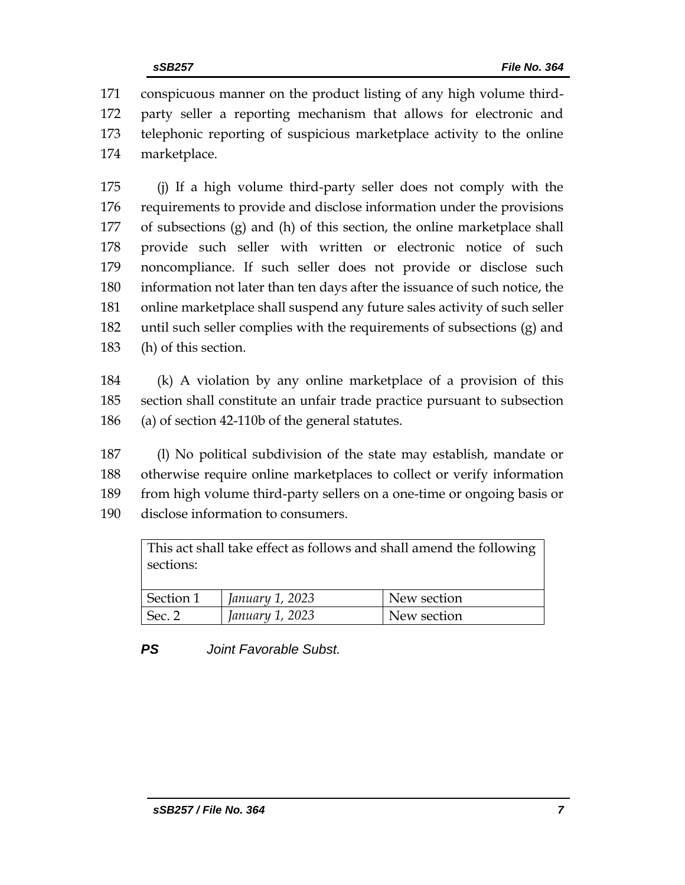conspicuous manner on the product listing of any high volume third- party seller a reporting mechanism that allows for electronic and telephonic reporting of suspicious marketplace activity to the online marketplace.

 (j) If a high volume third-party seller does not comply with the requirements to provide and disclose information under the provisions of subsections (g) and (h) of this section, the online marketplace shall provide such seller with written or electronic notice of such noncompliance. If such seller does not provide or disclose such information not later than ten days after the issuance of such notice, the online marketplace shall suspend any future sales activity of such seller until such seller complies with the requirements of subsections (g) and (h) of this section.

 (k) A violation by any online marketplace of a provision of this section shall constitute an unfair trade practice pursuant to subsection (a) of section 42-110b of the general statutes.

 (l) No political subdivision of the state may establish, mandate or otherwise require online marketplaces to collect or verify information from high volume third-party sellers on a one-time or ongoing basis or disclose information to consumers.

| This act shall take effect as follows and shall amend the following |                 |             |
|---------------------------------------------------------------------|-----------------|-------------|
| sections:                                                           |                 |             |
|                                                                     |                 |             |
| Section 1                                                           | January 1, 2023 | New section |
| Sec. 2                                                              | January 1, 2023 | New section |

*PS Joint Favorable Subst.*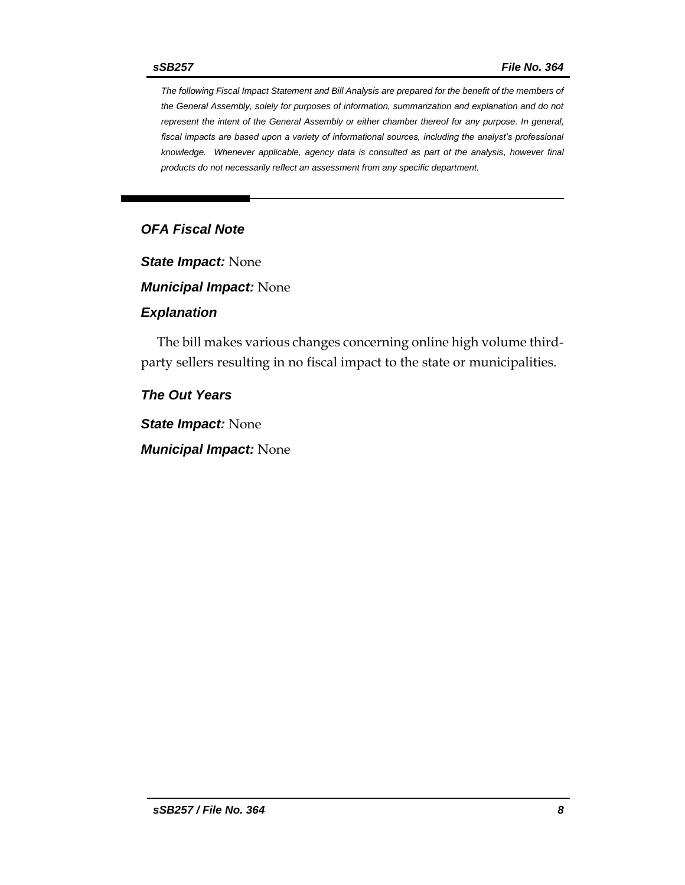*The following Fiscal Impact Statement and Bill Analysis are prepared for the benefit of the members of the General Assembly, solely for purposes of information, summarization and explanation and do not represent the intent of the General Assembly or either chamber thereof for any purpose. In general, fiscal impacts are based upon a variety of informational sources, including the analyst's professional knowledge. Whenever applicable, agency data is consulted as part of the analysis, however final products do not necessarily reflect an assessment from any specific department.*

#### *OFA Fiscal Note*

*State Impact:* None

*Municipal Impact:* None

#### *Explanation*

The bill makes various changes concerning online high volume thirdparty sellers resulting in no fiscal impact to the state or municipalities.

*The Out Years*

*State Impact:* None

*Municipal Impact:* None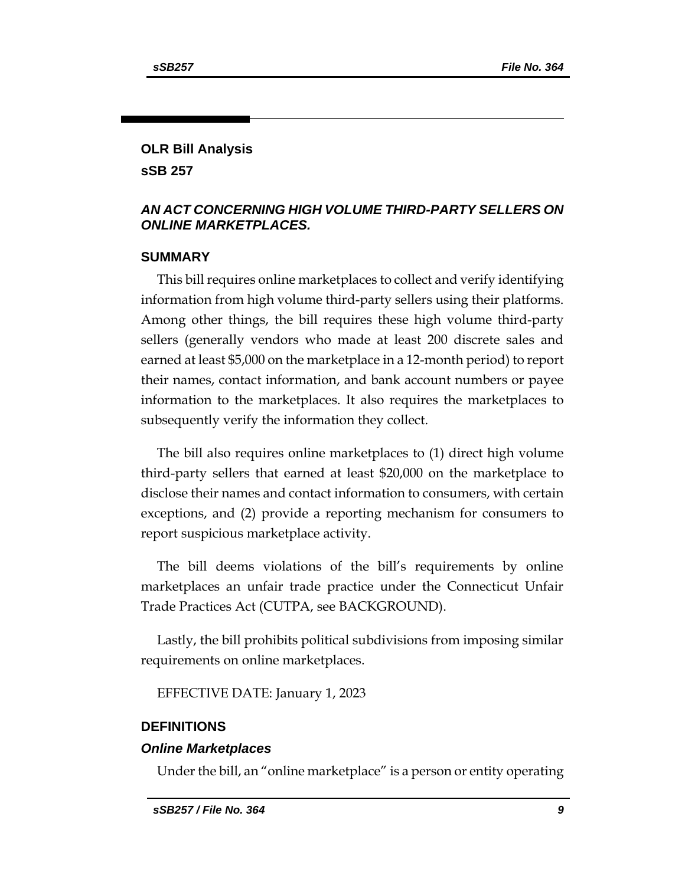## **OLR Bill Analysis sSB 257**

#### *AN ACT CONCERNING HIGH VOLUME THIRD-PARTY SELLERS ON ONLINE MARKETPLACES.*

#### **SUMMARY**

This bill requires online marketplaces to collect and verify identifying information from high volume third-party sellers using their platforms. Among other things, the bill requires these high volume third-party sellers (generally vendors who made at least 200 discrete sales and earned at least \$5,000 on the marketplace in a 12-month period) to report their names, contact information, and bank account numbers or payee information to the marketplaces. It also requires the marketplaces to subsequently verify the information they collect.

The bill also requires online marketplaces to (1) direct high volume third-party sellers that earned at least \$20,000 on the marketplace to disclose their names and contact information to consumers, with certain exceptions, and (2) provide a reporting mechanism for consumers to report suspicious marketplace activity.

The bill deems violations of the bill's requirements by online marketplaces an unfair trade practice under the Connecticut Unfair Trade Practices Act (CUTPA, see BACKGROUND).

Lastly, the bill prohibits political subdivisions from imposing similar requirements on online marketplaces.

EFFECTIVE DATE: January 1, 2023

#### **DEFINITIONS**

#### *Online Marketplaces*

Under the bill, an "online marketplace" is a person or entity operating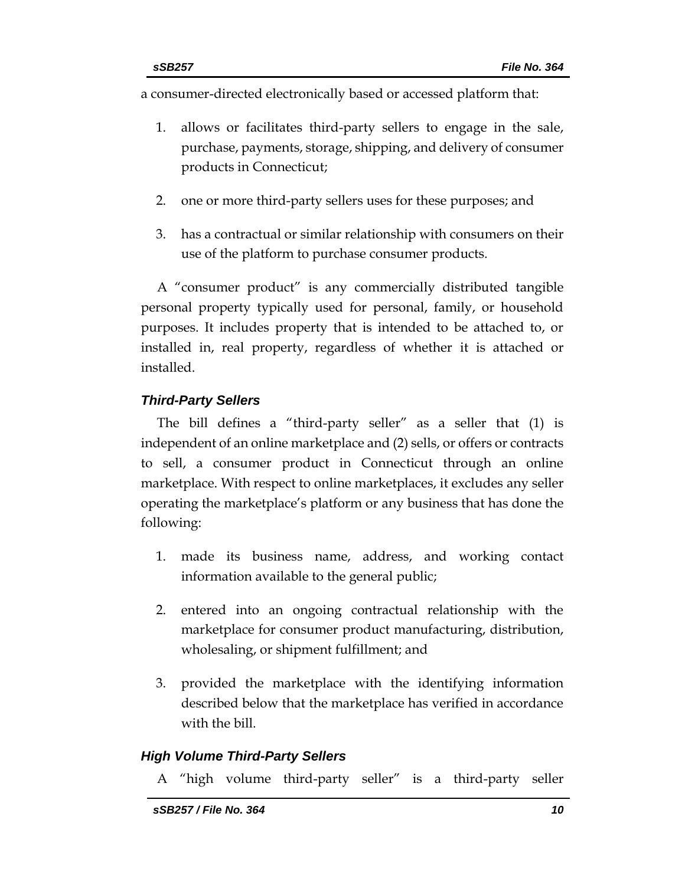a consumer-directed electronically based or accessed platform that:

- 1. allows or facilitates third-party sellers to engage in the sale, purchase, payments, storage, shipping, and delivery of consumer products in Connecticut;
- 2. one or more third-party sellers uses for these purposes; and
- 3. has a contractual or similar relationship with consumers on their use of the platform to purchase consumer products.

A "consumer product" is any commercially distributed tangible personal property typically used for personal, family, or household purposes. It includes property that is intended to be attached to, or installed in, real property, regardless of whether it is attached or installed.

#### *Third-Party Sellers*

The bill defines a "third-party seller" as a seller that (1) is independent of an online marketplace and (2) sells, or offers or contracts to sell, a consumer product in Connecticut through an online marketplace. With respect to online marketplaces, it excludes any seller operating the marketplace's platform or any business that has done the following:

- 1. made its business name, address, and working contact information available to the general public;
- 2. entered into an ongoing contractual relationship with the marketplace for consumer product manufacturing, distribution, wholesaling, or shipment fulfillment; and
- 3. provided the marketplace with the identifying information described below that the marketplace has verified in accordance with the bill.

#### *High Volume Third-Party Sellers*

A "high volume third-party seller" is a third-party seller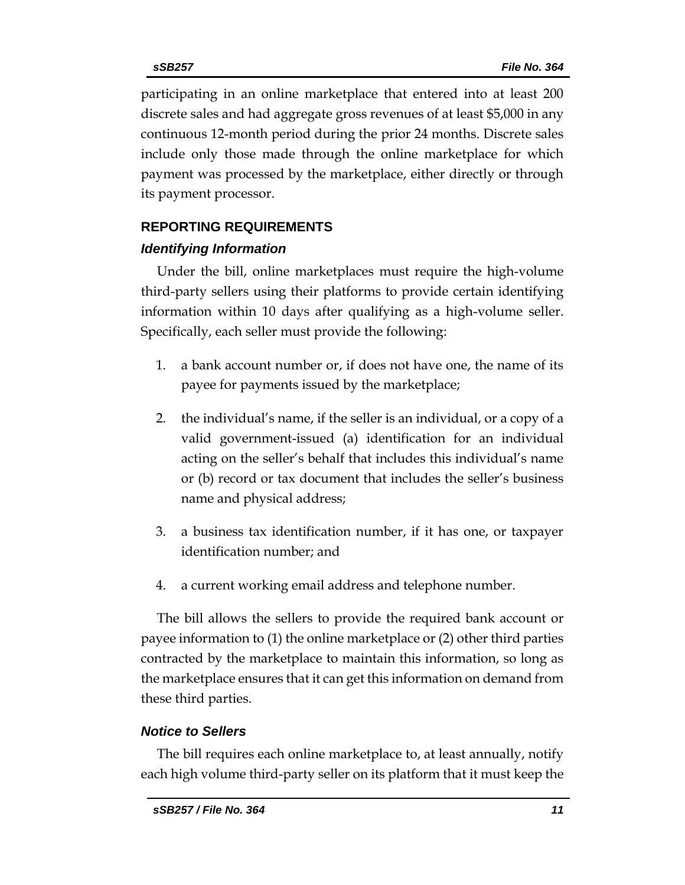participating in an online marketplace that entered into at least 200 discrete sales and had aggregate gross revenues of at least \$5,000 in any continuous 12-month period during the prior 24 months. Discrete sales include only those made through the online marketplace for which payment was processed by the marketplace, either directly or through its payment processor.

#### **REPORTING REQUIREMENTS**

#### *Identifying Information*

Under the bill, online marketplaces must require the high-volume third-party sellers using their platforms to provide certain identifying information within 10 days after qualifying as a high-volume seller. Specifically, each seller must provide the following:

- 1. a bank account number or, if does not have one, the name of its payee for payments issued by the marketplace;
- 2. the individual's name, if the seller is an individual, or a copy of a valid government-issued (a) identification for an individual acting on the seller's behalf that includes this individual's name or (b) record or tax document that includes the seller's business name and physical address;
- 3. a business tax identification number, if it has one, or taxpayer identification number; and
- 4. a current working email address and telephone number.

The bill allows the sellers to provide the required bank account or payee information to (1) the online marketplace or (2) other third parties contracted by the marketplace to maintain this information, so long as the marketplace ensures that it can get this information on demand from these third parties.

#### *Notice to Sellers*

The bill requires each online marketplace to, at least annually, notify each high volume third-party seller on its platform that it must keep the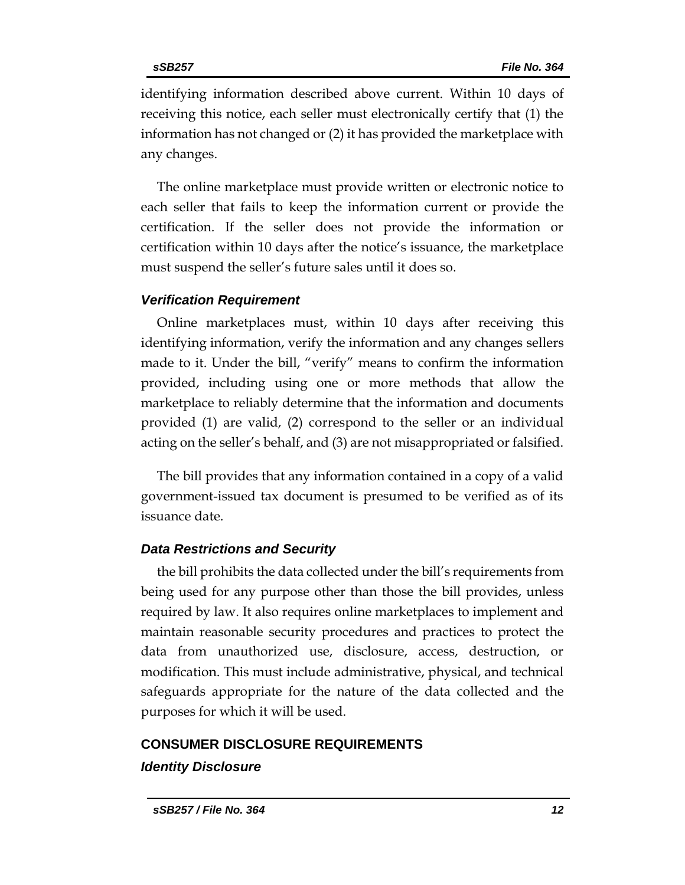identifying information described above current. Within 10 days of receiving this notice, each seller must electronically certify that (1) the information has not changed or (2) it has provided the marketplace with any changes.

The online marketplace must provide written or electronic notice to each seller that fails to keep the information current or provide the certification. If the seller does not provide the information or certification within 10 days after the notice's issuance, the marketplace must suspend the seller's future sales until it does so.

#### *Verification Requirement*

Online marketplaces must, within 10 days after receiving this identifying information, verify the information and any changes sellers made to it. Under the bill, "verify" means to confirm the information provided, including using one or more methods that allow the marketplace to reliably determine that the information and documents provided (1) are valid, (2) correspond to the seller or an individual acting on the seller's behalf, and (3) are not misappropriated or falsified.

The bill provides that any information contained in a copy of a valid government-issued tax document is presumed to be verified as of its issuance date.

#### *Data Restrictions and Security*

the bill prohibits the data collected under the bill's requirements from being used for any purpose other than those the bill provides, unless required by law. It also requires online marketplaces to implement and maintain reasonable security procedures and practices to protect the data from unauthorized use, disclosure, access, destruction, or modification. This must include administrative, physical, and technical safeguards appropriate for the nature of the data collected and the purposes for which it will be used.

## **CONSUMER DISCLOSURE REQUIREMENTS** *Identity Disclosure*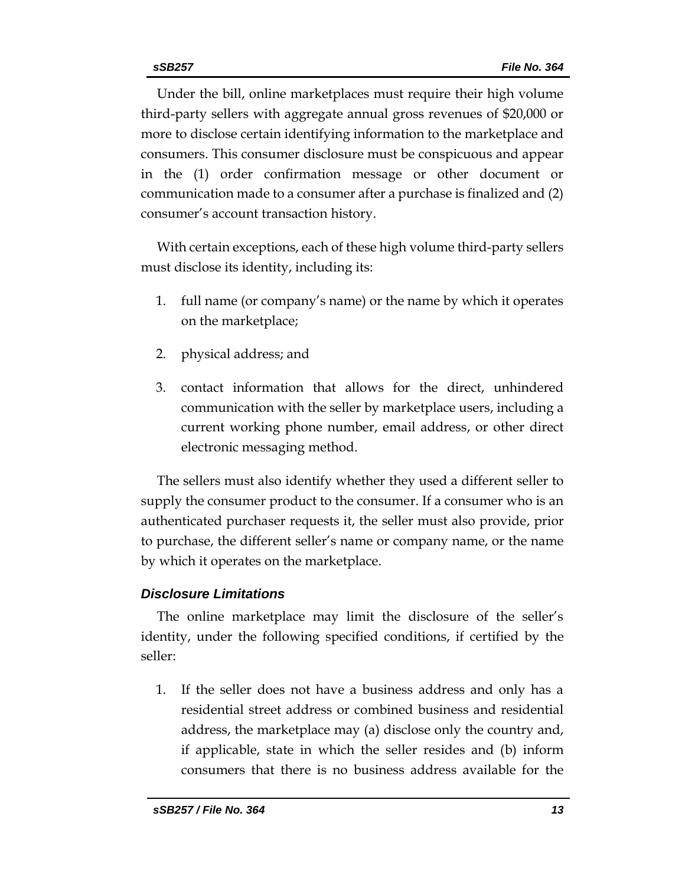Under the bill, online marketplaces must require their high volume third-party sellers with aggregate annual gross revenues of \$20,000 or more to disclose certain identifying information to the marketplace and consumers. This consumer disclosure must be conspicuous and appear in the (1) order confirmation message or other document or communication made to a consumer after a purchase is finalized and (2) consumer's account transaction history.

With certain exceptions, each of these high volume third-party sellers must disclose its identity, including its:

- 1. full name (or company's name) or the name by which it operates on the marketplace;
- 2. physical address; and
- 3. contact information that allows for the direct, unhindered communication with the seller by marketplace users, including a current working phone number, email address, or other direct electronic messaging method.

The sellers must also identify whether they used a different seller to supply the consumer product to the consumer. If a consumer who is an authenticated purchaser requests it, the seller must also provide, prior to purchase, the different seller's name or company name, or the name by which it operates on the marketplace.

#### *Disclosure Limitations*

The online marketplace may limit the disclosure of the seller's identity, under the following specified conditions, if certified by the seller:

1. If the seller does not have a business address and only has a residential street address or combined business and residential address, the marketplace may (a) disclose only the country and, if applicable, state in which the seller resides and (b) inform consumers that there is no business address available for the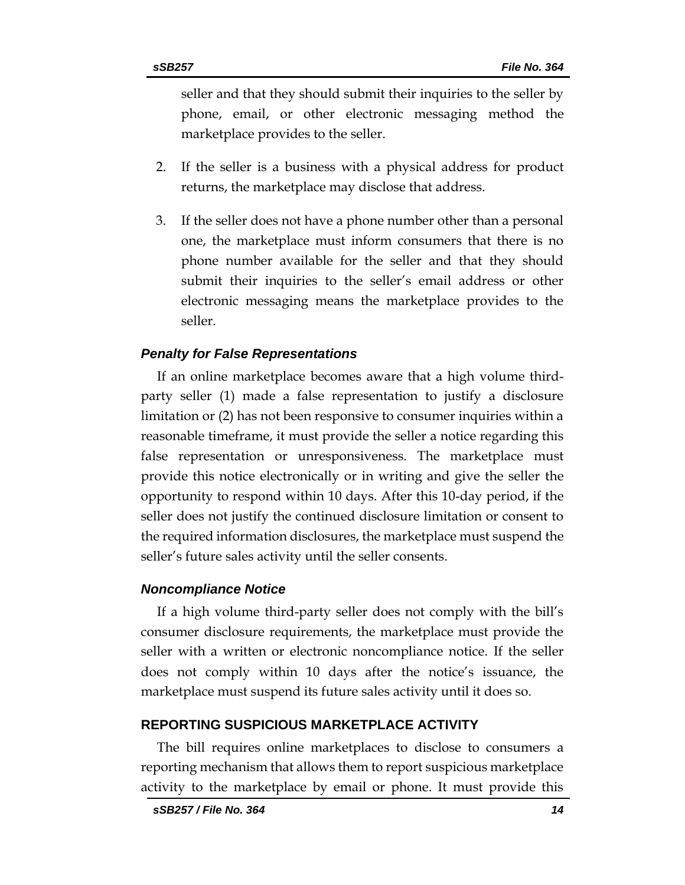seller and that they should submit their inquiries to the seller by phone, email, or other electronic messaging method the marketplace provides to the seller.

- 2. If the seller is a business with a physical address for product returns, the marketplace may disclose that address.
- 3. If the seller does not have a phone number other than a personal one, the marketplace must inform consumers that there is no phone number available for the seller and that they should submit their inquiries to the seller's email address or other electronic messaging means the marketplace provides to the seller.

#### *Penalty for False Representations*

If an online marketplace becomes aware that a high volume thirdparty seller (1) made a false representation to justify a disclosure limitation or (2) has not been responsive to consumer inquiries within a reasonable timeframe, it must provide the seller a notice regarding this false representation or unresponsiveness. The marketplace must provide this notice electronically or in writing and give the seller the opportunity to respond within 10 days. After this 10-day period, if the seller does not justify the continued disclosure limitation or consent to the required information disclosures, the marketplace must suspend the seller's future sales activity until the seller consents.

#### *Noncompliance Notice*

If a high volume third-party seller does not comply with the bill's consumer disclosure requirements, the marketplace must provide the seller with a written or electronic noncompliance notice. If the seller does not comply within 10 days after the notice's issuance, the marketplace must suspend its future sales activity until it does so.

#### **REPORTING SUSPICIOUS MARKETPLACE ACTIVITY**

The bill requires online marketplaces to disclose to consumers a reporting mechanism that allows them to report suspicious marketplace activity to the marketplace by email or phone. It must provide this